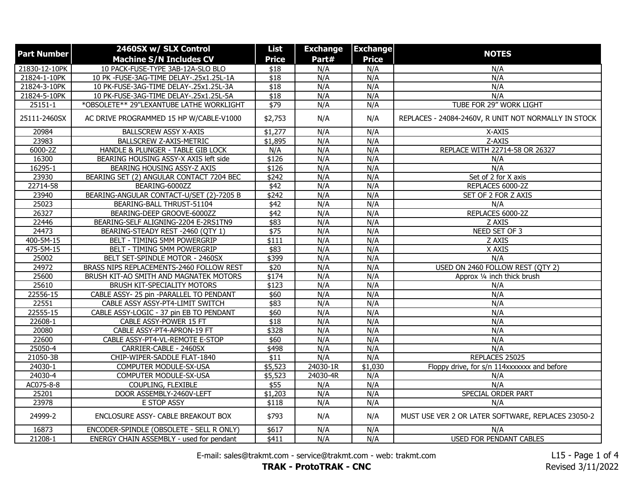| <b>Part Number</b> | 2460SX w/ SLX Control                    | List             | <b>Exchange</b> | <b>Exchange</b> | <b>NOTES</b>                                         |
|--------------------|------------------------------------------|------------------|-----------------|-----------------|------------------------------------------------------|
|                    | <b>Machine S/N Includes CV</b>           | <b>Price</b>     | Part#           | <b>Price</b>    |                                                      |
| 21830-12-10PK      | 10 PACK-FUSE-TYPE 3AB-12A-SLO BLO        | \$18             | N/A             | N/A             | N/A                                                  |
| 21824-1-10PK       | 10 PK -FUSE-3AG-TIME DELAY-.25x1.25L-1A  | $\overline{$18}$ | N/A             | N/A             | N/A                                                  |
| 21824-3-10PK       | 10 PK-FUSE-3AG-TIME DELAY-.25x1.25L-3A   | \$18             | N/A             | N/A             | N/A                                                  |
| 21824-5-10PK       | 10 PK-FUSE-3AG-TIME DELAY-.25x1.25L-5A   | \$18             | N/A             | N/A             | N/A                                                  |
| 25151-1            | *OBSOLETE** 29"LEXANTUBE LATHE WORKLIGHT | $\sqrt{$79}$     | N/A             | N/A             | TUBE FOR 29" WORK LIGHT                              |
| 25111-2460SX       | AC DRIVE PROGRAMMED 15 HP W/CABLE-V1000  | \$2,753          | N/A             | N/A             | REPLACES - 24084-2460V, R UNIT NOT NORMALLY IN STOCK |
| 20984              | <b>BALLSCREW ASSY X-AXIS</b>             | \$1,277          | N/A             | N/A             | X-AXIS                                               |
| 23983              | BALLSCREW Z-AXIS-METRIC                  | \$1,895          | N/A             | N/A             | Z-AXIS                                               |
| 6000-2Z            | HANDLE & PLUNGER - TABLE GIB LOCK        | N/A              | N/A             | N/A             | REPLACE WITH 22714-58 OR 26327                       |
| 16300              | BEARING HOUSING ASSY-X AXIS left side    | \$126            | N/A             | N/A             | N/A                                                  |
| 16295-1            | BEARING HOUSING ASSY-Z AXIS              | \$126            | N/A             | N/A             | N/A                                                  |
| 23930              | BEARING SET (2) ANGULAR CONTACT 7204 BEC | \$242            | N/A             | N/A             | Set of 2 for X axis                                  |
| 22714-58           | BEARING-6000ZZ                           | $\overline{$42}$ | N/A             | N/A             | REPLACES 6000-2Z                                     |
| 23940              | BEARING-ANGULAR CONTACT-U/SET (2)-7205 B | \$242            | N/A             | N/A             | SET OF 2 FOR Z AXIS                                  |
| 25023              | BEARING-BALL THRUST-51104                | \$42             | N/A             | N/A             | N/A                                                  |
| 26327              | BEARING-DEEP GROOVE-6000ZZ               | \$42             | N/A             | N/A             | REPLACES 6000-2Z                                     |
| 22446              | BEARING-SELF ALIGNING-2204 E-2RS1TN9     | \$83             | N/A             | N/A             | Z AXIS                                               |
| 24473              | BEARING-STEADY REST -2460 (QTY 1)        | \$75             | N/A             | N/A             | NEED SET OF 3                                        |
| 400-5M-15          | BELT - TIMING 5MM POWERGRIP              | \$111            | N/A             | N/A             | Z AXIS                                               |
| 475-5M-15          | BELT - TIMING 5MM POWERGRIP              | \$83             | N/A             | N/A             | X AXIS                                               |
| 25002              | BELT SET-SPINDLE MOTOR - 2460SX          | \$399            | N/A             | N/A             | N/A                                                  |
| 24972              | BRASS NIPS REPLACEMENTS-2460 FOLLOW REST | \$20             | N/A             | N/A             | USED ON 2460 FOLLOW REST (QTY 2)                     |
| 25600              | BRUSH KIT-AO SMITH AND MAGNATEK MOTORS   | \$174            | N/A             | N/A             | Approx 1/4 inch thick brush                          |
| 25610              | BRUSH KIT-SPECIALITY MOTORS              | \$123            | N/A             | N/A             | N/A                                                  |
| 22556-15           | CABLE ASSY- 25 pin -PARALLEL TO PENDANT  | \$60             | N/A             | N/A             | N/A                                                  |
| 22551              | CABLE ASSY ASSY-PT4-LIMIT SWITCH         | \$83             | N/A             | N/A             | N/A                                                  |
| 22555-15           | CABLE ASSY-LOGIC - 37 pin EB TO PENDANT  | \$60             | N/A             | N/A             | N/A                                                  |
| 22608-1            | CABLE ASSY-POWER 15 FT                   | \$18             | N/A             | N/A             | N/A                                                  |
| 20080              | CABLE ASSY-PT4-APRON-19 FT               | \$328            | N/A             | N/A             | N/A                                                  |
| 22600              | CABLE ASSY-PT4-VL-REMOTE E-STOP          | \$60             | N/A             | N/A             | N/A                                                  |
| 25050-4            | CARRIER-CABLE - 2460SX                   | \$498            | N/A             | N/A             | N/A                                                  |
| 21050-3B           | CHIP-WIPER-SADDLE FLAT-1840              | $\overline{$11}$ | N/A             | N/A             | REPLACES 25025                                       |
| 24030-1            | COMPUTER MODULE-SX-USA                   | \$5,523          | $24030 - 1R$    | \$1,030         | Floppy drive, for s/n 114xxxxxxx and before          |
| 24030-4            | COMPUTER MODULE-SX-USA                   | \$5,523          | 24030-4R        | N/A             | N/A                                                  |
| AC075-8-8          | COUPLING, FLEXIBLE                       | \$55             | N/A             | N/A             | N/A                                                  |
| 25201              | DOOR ASSEMBLY-2460V-LEFT                 | \$1,203          | N/A             | N/A             | SPECIAL ORDER PART                                   |
| 23978              | E STOP ASSY                              | \$118            | N/A             | N/A             | N/A                                                  |
| 24999-2            | ENCLOSURE ASSY- CABLE BREAKOUT BOX       | \$793            | N/A             | N/A             | MUST USE VER 2 OR LATER SOFTWARE, REPLACES 23050-2   |
| 16873              | ENCODER-SPINDLE (OBSOLETE - SELL R ONLY) | \$617            | N/A             | N/A             | N/A                                                  |
| 21208-1            | ENERGY CHAIN ASSEMBLY - used for pendant | $\sqrt{411}$     | N/A             | N/A             | <b>USED FOR PENDANT CABLES</b>                       |

E-mail: sales@trakmt.com - service@trakmt.com - web: trakmt.com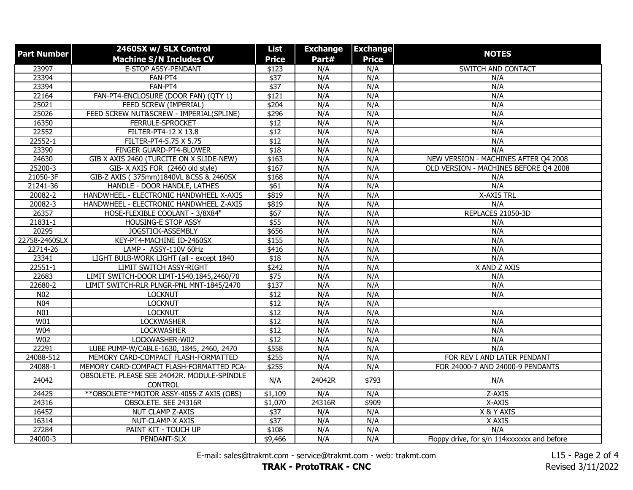| <b>Part Number</b> | 2460SX w/ SLX Control                       | List             | <b>Exchange</b> | <b>Exchange</b> | <b>NOTES</b>                                |
|--------------------|---------------------------------------------|------------------|-----------------|-----------------|---------------------------------------------|
|                    | <b>Machine S/N Includes CV</b>              | <b>Price</b>     | Part#           | <b>Price</b>    |                                             |
| 23997              | E-STOP ASSY-PENDANT                         | \$123            | N/A             | N/A             | SWITCH AND CONTACT                          |
| 23394              | FAN-PT4                                     | $\overline{$37}$ | N/A             | N/A             | N/A                                         |
| 23394              | FAN-PT4                                     | $\sqrt{$37}$     | N/A             | N/A             | N/A                                         |
| 22164              | FAN-PT4-ENCLOSURE (DOOR FAN) (QTY 1)        | \$121            | N/A             | N/A             | N/A                                         |
| 25021              | FEED SCREW (IMPERIAL)                       | \$204            | N/A             | N/A             | N/A                                         |
| 25026              | FEED SCREW NUT&SCREW - IMPERIAL(SPLINE)     | \$296            | N/A             | N/A             | N/A                                         |
| 16350              | FERRULE-SPROCKET                            | \$12             | N/A             | N/A             | N/A                                         |
| 22552              | FILTER-PT4-12 X 13.8                        | $\overline{$12}$ | N/A             | N/A             | N/A                                         |
| 22552-1            | FILTER-PT4-5.75 X 5.75                      | $\overline{$12}$ | N/A             | N/A             | N/A                                         |
| 23390              | FINGER GUARD-PT4-BLOWER                     | $\overline{$18}$ | N/A             | N/A             | N/A                                         |
| 24630              | GIB X AXIS 2460 (TURCITE ON X SLIDE-NEW)    | \$163            | N/A             | N/A             | NEW VERSION - MACHINES AFTER Q4 2008        |
| 25200-3            | GIB-X AXIS FOR (2460 old style)             | \$167            | N/A             | N/A             | OLD VERSION - MACHINES BEFORE Q4 2008       |
| 21050-3F           | GIB-Z AXIS (375mm)1840VL &CSS & 2460SX      | \$168            | N/A             | N/A             | N/A                                         |
| 21241-36           | HANDLE - DOOR HANDLE, LATHES                | $\overline{$61}$ | N/A             | N/A             | N/A                                         |
| 20082-2            | HANDWHEEL - ELECTRONIC HANDWHEEL X-AXIS     | \$819            | N/A             | N/A             | <b>X-AXIS TRL</b>                           |
| 20082-3            | HANDWHEEL - ELECTRONIC HANDWHEEL Z-AXIS     | \$819            | N/A             | N/A             | N/A                                         |
| 26357              | HOSE-FLEXIBLE COOLANT - 3/8X84"             | \$67             | N/A             | N/A             | REPLACES 21050-3D                           |
| 21831-1            | HOUSING-E STOP ASSY                         | \$55             | N/A             | N/A             | N/A                                         |
| 20295              | JOGSTICK-ASSEMBLY                           | \$656            | N/A             | N/A             | N/A                                         |
| 22758-2460SLX      | KEY-PT4-MACHINE ID-2460SX                   | \$155            | N/A             | N/A             | N/A                                         |
| 22714-26           | LAMP - ASSY-110V 60Hz                       | \$416            | N/A             | N/A             | N/A                                         |
| 23341              | LIGHT BULB-WORK LIGHT (all - except 1840    | $\overline{$18}$ | N/A             | N/A             | N/A                                         |
| $22551 - 1$        | LIMIT SWITCH ASSY-RIGHT                     | \$242            | N/A             | N/A             | X AND Z AXIS                                |
| 22683              | LIMIT SWITCH-DOOR LIMT-1540,1845,2460/70    | $\sqrt{$75}$     | N/A             | N/A             | N/A                                         |
| 22680-2            | LIMIT SWITCH-RLR PLNGR-PNL MNT-1845/2470    | \$137            | N/A             | N/A             | N/A                                         |
| N <sub>02</sub>    | <b>LOCKNUT</b>                              | $\overline{$12}$ | N/A             | N/A             | N/A                                         |
| N <sub>04</sub>    | <b>LOCKNUT</b>                              | $\overline{$12}$ | N/A             | N/A             |                                             |
| N <sub>01</sub>    | <b>LOCKNUT</b>                              | $\overline{$12}$ | N/A             | N/A             | N/A                                         |
| W01                | <b>LOCKWASHER</b>                           | \$12             | N/A             | N/A             | N/A                                         |
| W04                | <b>LOCKWASHER</b>                           | \$12             | N/A             | N/A             | N/A                                         |
| W <sub>02</sub>    | LOCKWASHER-W02                              | \$12             | N/A             | N/A             | N/A                                         |
| 22291              | LUBE PUMP-W/CABLE-1630, 1845, 2460, 2470    | \$558            | N/A             | N/A             | N/A                                         |
| 24088-512          | MEMORY CARD-COMPACT FLASH-FORMATTED         | \$255            | N/A             | N/A             | FOR REV I AND LATER PENDANT                 |
| 24088-1            | MEMORY CARD-COMPACT FLASH-FORMATTED PCA-    | \$255            | N/A             | N/A             | FOR 24000-7 AND 24000-9 PENDANTS            |
| 24042              | OBSOLETE. PLEASE SEE 24042R. MODULE-SPINDLE | N/A              | 24042R          | \$793           | N/A                                         |
|                    | <b>CONTROL</b>                              |                  |                 |                 |                                             |
| 24425              | ** OBSOLETE ** MOTOR ASSY-4055-Z AXIS (OBS) | \$1,109          | N/A             | N/A             | Z-AXIS                                      |
| 24316              | OBSOLETE. SEE 24316R                        | \$1,070          | 24316R          | \$909           | X-AXIS                                      |
| 16452              | NUT CLAMP Z-AXIS                            | $\sqrt{$37}$     | N/A             | N/A             | X & Y AXIS                                  |
| 16314              | NUT-CLAMP-X AXIS                            | $\sqrt{$37}$     | N/A             | N/A             | X AXIS                                      |
| 27284              | PAINT KIT - TOUCH UP                        | \$108            | N/A             | N/A             | N/A                                         |
| 24000-3            | PENDANT-SLX                                 | \$9,466          | N/A             | N/A             | Floppy drive, for s/n 114xxxxxxx and before |

E-mail: sales@trakmt.com - service@trakmt.com - web: trakmt.com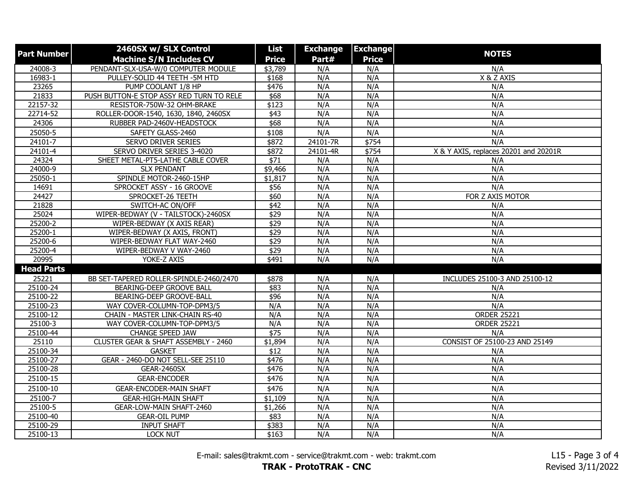| <b>Part Number</b> | 2460SX w/ SLX Control                    | List            | <b>Exchange</b> | <b>Exchange</b> |                                       |
|--------------------|------------------------------------------|-----------------|-----------------|-----------------|---------------------------------------|
|                    | <b>Machine S/N Includes CV</b>           | <b>Price</b>    | Part#           | <b>Price</b>    | <b>NOTES</b>                          |
| $24008 - 3$        | PENDANT-SLX-USA-W/0 COMPUTER MODULE      | \$3,789         | N/A             | N/A             | N/A                                   |
| 16983-1            | PULLEY-SOLID 44 TEETH -5M HTD            | \$168           | N/A             | N/A             | X & Z AXIS                            |
| 23265              | PUMP COOLANT 1/8 HP                      | \$476           | N/A             | N/A             | N/A                                   |
| 21833              | PUSH BUTTON-E STOP ASSY RED TURN TO RELE | \$68            | N/A             | N/A             | N/A                                   |
| 22157-32           | RESISTOR-750W-32 OHM-BRAKE               | \$123           | N/A             | N/A             | N/A                                   |
| 22714-52           | ROLLER-DOOR-1540, 1630, 1840, 2460SX     | \$43            | N/A             | N/A             | N/A                                   |
| 24306              | RUBBER PAD-2460V-HEADSTOCK               | \$68            | N/A             | N/A             | N/A                                   |
| 25050-5            | SAFETY GLASS-2460                        | \$108           | N/A             | N/A             | N/A                                   |
| $24101 - 7$        | <b>SERVO DRIVER SERIES</b>               | $\sqrt{$872}$   | 24101-7R        | $\sqrt{$754}$   | N/A                                   |
| 24101-4            | SERVO DRIVER SERIES 3-4020               | \$872           | 24101-4R        | \$754           | X & Y AXIS, replaces 20201 and 20201R |
| 24324              | SHEET METAL-PT5-LATHE CABLE COVER        | \$71            | N/A             | N/A             | N/A                                   |
| 24000-9            | <b>SLX PENDANT</b>                       | \$9,466         | N/A             | N/A             | N/A                                   |
| 25050-1            | SPINDLE MOTOR-2460-15HP                  | \$1,817         | N/A             | N/A             | N/A                                   |
| 14691              | SPROCKET ASSY - 16 GROOVE                | \$56            | N/A             | N/A             | N/A                                   |
| 24427              | SPROCKET-26 TEETH                        | \$60            | N/A             | N/A             | FOR Z AXIS MOTOR                      |
| 21828              | SWITCH-AC ON/OFF                         | \$42            | N/A             | N/A             | N/A                                   |
| 25024              | WIPER-BEDWAY (V - TAILSTOCK)-2460SX      | \$29            | N/A             | N/A             | N/A                                   |
| 25200-2            | WIPER-BEDWAY (X AXIS REAR)               | $\sqrt{$29}$    | N/A             | N/A             | N/A                                   |
| 25200-1            | WIPER-BEDWAY (X AXIS, FRONT)             | $\sqrt{$29}$    | N/A             | N/A             | N/A                                   |
| 25200-6            | WIPER-BEDWAY FLAT WAY-2460               | \$29            | N/A             | N/A             | N/A                                   |
| 25200-4            | WIPER-BEDWAY V WAY-2460                  | \$29            | N/A             | N/A             | N/A                                   |
| 20995              | YOKE-Z AXIS                              | \$491           | N/A             | N/A             | N/A                                   |
| <b>Head Parts</b>  |                                          |                 |                 |                 |                                       |
| 25221              | BB SET-TAPERED ROLLER-SPINDLE-2460/2470  | \$878           | N/A             | N/A             | INCLUDES 25100-3 AND 25100-12         |
| 25100-24           | BEARING-DEEP GROOVE BALL                 | \$83            | N/A             | N/A             | N/A                                   |
| 25100-22           | BEARING-DEEP GROOVE-BALL                 | $\frac{1}{296}$ | N/A             | N/A             | N/A                                   |
| 25100-23           | WAY COVER-COLUMN-TOP-DPM3/5              | N/A             | N/A             | N/A             | N/A                                   |
| 25100-12           | CHAIN - MASTER LINK-CHAIN RS-40          | N/A             | N/A             | N/A             | <b>ORDER 25221</b>                    |
| 25100-3            | WAY COVER-COLUMN-TOP-DPM3/5              | N/A             | N/A             | N/A             | <b>ORDER 25221</b>                    |
| 25100-44           | <b>CHANGE SPEED JAW</b>                  | \$75            | N/A             | N/A             | N/A                                   |
| 25110              | CLUSTER GEAR & SHAFT ASSEMBLY - 2460     | \$1,894         | N/A             | N/A             | CONSIST OF 25100-23 AND 25149         |
| 25100-34           | <b>GASKET</b>                            | \$12            | N/A             | N/A             | N/A                                   |
| 25100-27           | GEAR - 2460-DO NOT SELL-SEE 25110        | \$476           | N/A             | N/A             | N/A                                   |
| 25100-28           | <b>GEAR-2460SX</b>                       | \$476           | N/A             | N/A             | N/A                                   |
| 25100-15           | <b>GEAR-ENCODER</b>                      | \$476           | N/A             | N/A             | N/A                                   |
| 25100-10           | <b>GEAR-ENCODER-MAIN SHAFT</b>           | \$476           | N/A             | N/A             | N/A                                   |
| 25100-7            | <b>GEAR-HIGH-MAIN SHAFT</b>              | \$1,109         | N/A             | N/A             | N/A                                   |
| 25100-5            | GEAR-LOW-MAIN SHAFT-2460                 | \$1,266         | N/A             | N/A             | N/A                                   |
| 25100-40           | <b>GEAR-OIL PUMP</b>                     | \$83            | N/A             | N/A             | N/A                                   |
| 25100-29           | <b>INPUT SHAFT</b>                       | \$383           | N/A             | N/A             | N/A                                   |
| 25100-13           | <b>LOCK NUT</b>                          | \$163           | N/A             | N/A             | N/A                                   |

E-mail: sales@trakmt.com - service@trakmt.com - web: trakmt.com